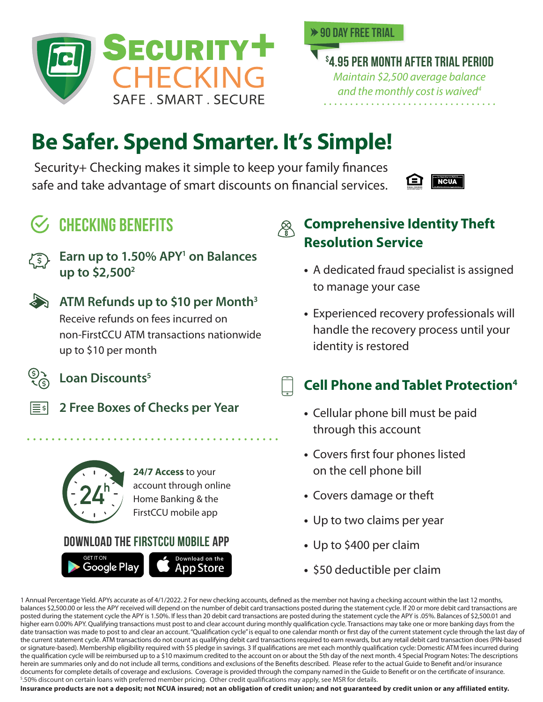



**\$ 4.95 per month after trial period** *Maintain \$2,500 average balance and the monthly cost is waived4*

# **Be Safer. Spend Smarter. It's Simple!**

Security+ Checking makes it simple to keep your family finances safe and take advantage of smart discounts on financial services.

## **NCUA**



Earn up to 1.50% APY<sup>1</sup> on Balances **up to \$2,5002**



#### **ATM Refunds up to \$10 per Month3**

Receive refunds on fees incurred on non-FirstCCU ATM transactions nationwide up to \$10 per month

Loan Discounts<sup>5</sup>



**2 Free Boxes of Checks per Year**



**24/7 Access** to your account through online Home Banking & the FirstCCU mobile app

### **Download the FirstCCU MObile app**



## $\mathcal{L}$  CHECKING BENEFITS  $\qquad \qquad \mathcal{L}$  Comprehensive Identity Theft **Resolution Service**

- **•** A dedicated fraud specialist is assigned to manage your case
- **•** Experienced recovery professionals will handle the recovery process until your identity is restored

## **Cell Phone and Tablet Protection4**

- **•** Cellular phone bill must be paid through this account
- **•** Covers first four phones listed on the cell phone bill
- **•** Covers damage or theft
- **•** Up to two claims per year
- **•** Up to \$400 per claim
- **•** \$50 deductible per claim

1 Annual Percentage Yield. APYs accurate as of 4/1/2022. 2 For new checking accounts, defined as the member not having a checking account within the last 12 months, balances \$2,500.00 or less the APY received will depend on the number of debit card transactions posted during the statement cycle. If 20 or more debit card transactions are posted during the statement cycle the APY is 1.50%. If less than 20 debit card transactions are posted during the statement cycle the APY is .05%. Balances of \$2,500.01 and higher earn 0.00% APY. Qualifying transactions must post to and clear account during monthly qualification cycle. Transactions may take one or more banking days from the date transaction was made to post to and clear an account. "Qualification cycle" is equal to one calendar month or first day of the current statement cycle through the last day of the current statement cycle. ATM transactions do not count as qualifying debit card transactions required to earn rewards, but any retail debit card transaction does (PIN-based or signature-based). Membership eligibility required with \$5 pledge in savings. 3 If qualifications are met each monthly qualification cycle: Domestic ATM fees incurred during the qualification cycle will be reimbursed up to a \$10 maximum credited to the account on or about the 5th day of the next month. 4 Special Program Notes: The descriptions herein are summaries only and do not include all terms, conditions and exclusions of the Benefits described. Please refer to the actual Guide to Benefit and/or insurance documents for complete details of coverage and exclusions. Coverage is provided through the company named in the Guide to Benefit or on the certificate of insurance. 5 .50% discount on certain loans with preferred member pricing. Other credit qualifications may apply, see MSR for details.

**Insurance products are not a deposit; not NCUA insured; not an obligation of credit union; and not guaranteed by credit union or any affiliated entity.**